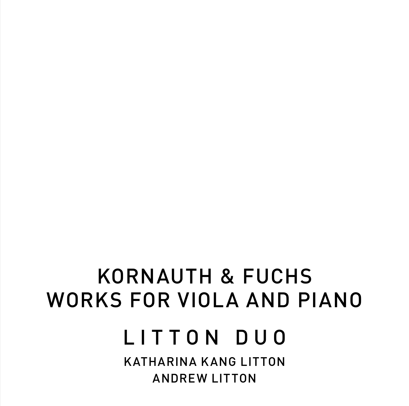# KORNAUTH & FUCHS WORKS FOR VIOLA AND PIANO

LITTON DUO

KATHARINA KANG LITTON ANDREW LITTON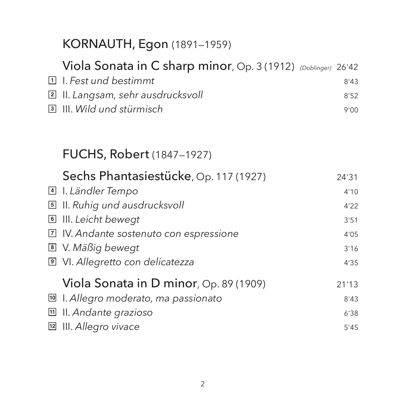|                      | KORNAUTH, Egon (1891-1959)                                                                                                                          |                      |
|----------------------|-----------------------------------------------------------------------------------------------------------------------------------------------------|----------------------|
| 団<br>$\sqrt{2}$<br>同 | Viola Sonata in C sharp minor, Op. 3 (1912) (Doblinger) 26'42<br>I. Fest und bestimmt<br>II. Langsam, sehr ausdrucksvoll<br>III. Wild und stürmisch | 8'43<br>8'52<br>9'00 |
|                      | <b>FUCHS, Robert</b> (1847–1927)                                                                                                                    |                      |
| $\vert$ 4            | Sechs Phantasiestücke, Op. 117 (1927)                                                                                                               | 24'31                |
|                      | I. Ländler Tempo                                                                                                                                    | 4'10                 |
| $\boxed{5}$          | II. Ruhig und ausdrucksvoll                                                                                                                         | 4'22                 |
| 6                    | III. Leicht bewegt                                                                                                                                  | 3'51                 |
| 7                    | IV. Andante sostenuto con espressione                                                                                                               | 4'05                 |
| $\boxed{8}$          | V. Mäßig bewegt                                                                                                                                     | 3'16                 |
|                      | I VI. Allegretto con delicatezza                                                                                                                    | 4'35                 |
|                      | Viola Sonata in D minor, Op. 89 (1909)                                                                                                              | 21'13                |
| 10                   | I. Allegro moderato, ma passionato                                                                                                                  | 8'43                 |
| 回                    | II. Andante grazioso                                                                                                                                | 6'38                 |
| 12                   | III. Allegro vivace                                                                                                                                 | 5'45                 |
|                      |                                                                                                                                                     |                      |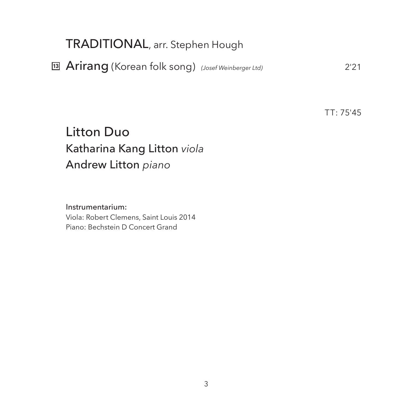## TRADITIONAL, arr. Stephen Hough

Arirang (Korean folk song) *(Josef Weinberger Ltd)* 2'21 **13**

TT: 75'45

# Litton Duo Katharina Kang Litton *viola* Andrew Litton *piano*

 Instrumentarium: Viola: Robert Clemens, Saint Louis 2014 Piano: Bechstein D Concert Grand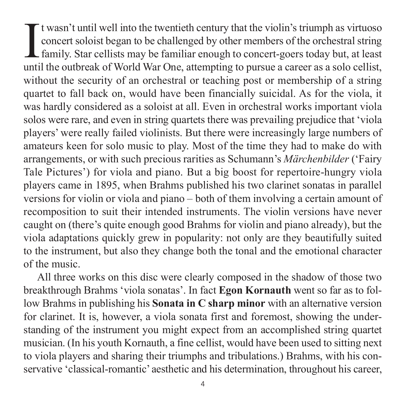It wasn't until well into the twentieth century that the violin's triumph as virtuoso concert soloist began to be challenged by other members of the orchestral string family. Star cellists may be familiar enough to concert t wasn't until well into the twentieth century that the violin's triumph as virtuoso concert soloist began to be challenged by other members of the orchestral string **L** family. Star cellists may be familiar enough to concert-goers today but, at least without the security of an orchestral or teaching post or membership of a string quar tet to fall back on, would have been financially suicidal. As for the viola, it was hardly considered as a soloist at all. Even in orchestral works important viola solos were rare, and even in string quartets there was prevailing prejudice that 'viola players' were really failed violinists. But there were increasingly large numbers of amateurs keen for solo music to play. Most of the time they had to make do with arrangements, or with such precious rarities as Schumann's *Märchenbilder* ('Fairy Tale Pictures') for viola and piano. But a big boost for repertoire-hungry viola players came in 1895, when Brahms published his two clarinet sonatas in parallel versions for violin or viola and piano – both of them involving a certain amount of recomposition to suit their intended instruments. The violin versions have never caught on (there's quite enough good Brahms for violin and piano already), but the viola adaptations quickly grew in popularity: not only are they beautifully suited to the instrument, but also they change both the tonal and the emotional character of the music.

All three works on this disc were clearly composed in the shadow of those two breakthrough Brahms 'viola sonatas'. In fact **Egon Kornauth** went so far as to fol low Brahms in publishing his **Sonata in C sharp minor** with an alternative version for clarinet. It is, however, a viola sonata first and foremost, showing the understanding of the instrument you might expect from an accomplished string quartet musician. (In his youth Kornauth, a fine cellist, would have been used to sitting next to viola players and sharing their triumphs and tribulations.) Brahms, with his con servative 'classical-romantic' aesthetic and his determination, throughout his career,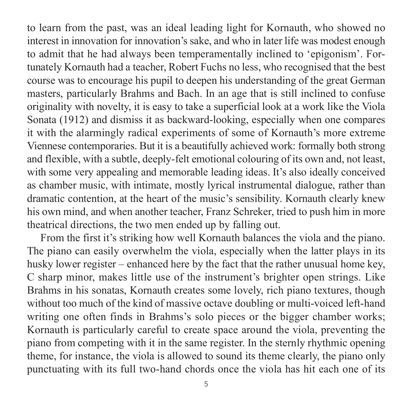to learn from the past, was an ideal leading light for Kornauth, who showed no interest in innovation for innovation's sake, and who in later life was modest enough to admit that he had always been temperamentally inclined to 'epigonism'. For tunately Kornauth had a teacher, Robert Fuchs no less, who recognised that the best course was to encourage his pupil to deepen his understanding of the great German masters, particularly Brahms and Bach. In an age that is still inclined to confuse originality with novelty, it is easy to take a superficial look at a work like the Viola Sonata (1912) and dismiss it as backward-looking, especially when one compares it with the alarmingly radical experiments of some of Kornauth's more extreme Viennese contemporaries. But it is a beautifully achieved work: formally both strong and flexible, with a subtle, deeply-felt emotional colouring of its own and, not least, with some very appealing and memorable leading ideas. It's also ideally conceived as chamber music, with intimate, mostly lyrical instrumental dialogue, rather than dramatic contention, at the heart of the music's sensibility. Kornauth clearly knew his own mind, and when another teacher, Franz Schreker, tried to push him in more theatrical directions, the two men ended up by falling out.

From the first it's striking how well Kornauth balances the viola and the piano. The piano can easily overwhelm the viola, especially when the latter plays in its husky lower register – enhanced here by the fact that the rather unusual home key, C sharp minor, makes little use of the instrument's brighter open strings. Like Brahms in his sonatas, Kornauth creates some lovely, rich piano textures, though without too much of the kind of massive octave doubling or multi-voiced left-hand writing one often finds in Brahms's solo pieces or the bigger chamber works; Kornauth is particularly careful to create space around the viola, preventing the piano from competing with it in the same register. In the sternly rhythmic opening theme, for instance, the viola is allowed to sound its theme clearly, the piano only punctuating with its full two-hand chords once the viola has hit each one of its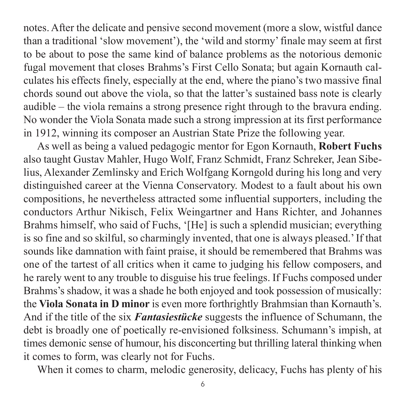notes. After the delicate and pensive second movement (more a slow, wistful dance than a traditional 'slow movement'), the 'wild and stormy' finale may seem at first to be about to pose the same kind of balance problems as the notorious demonic fugal movement that closes Brahms's First Cello Sonata; but again Kornauth cal culates his effects finely, especially at the end, where the piano's two massive final chords sound out above the viola, so that the latter's sustained bass note is clearly audible – the viola remains a strong presence right through to the bravura ending. No wonder the Viola Sonata made such a strong impression at its first performance in 1912, winning its composer an Austrian State Prize the following year.

As well as being a valued pedagogic mentor for Egon Kornauth, **Robert Fuchs** also taught Gustav Mahler, Hugo Wolf, Franz Schmidt, Franz Schreker, Jean Sibe lius, Alexander Zemlinsky and Erich Wolfgang Korngold during his long and very dis tinguished career at the Vienna Conservatory. Modest to a fault about his own com positions, he nevertheless attracted some influential supporters, including the con ductors Arthur Nikisch, Felix Weingartner and Hans Richter, and Johannes Brahms himself, who said of Fuchs, '[He] is such a splendid musician; everything is so fine and so skilful, so charmingly invented, that one is always pleased.' If that sounds like damnation with faint praise, it should be remembered that Brahms was one of the tartest of all critics when it came to judging his fellow composers, and he rarely went to any trouble to disguise his true feelings. If Fuchs composed under Brahms's shadow, it was a shade he both enjoyed and took possession of musically: the **Viola Sonata in D minor** is even more forthrightly Brahmsian than Kornauth's. And if the title of the six *Fantasiestücke* suggests the influence of Schumann, the debt is broadly one of poetically re-envisioned folksiness. Schumann's impish, at times demonic sense of humour, his disconcerting but thrilling lateral thinking when it comes to form, was clearly not for Fuchs.

When it comes to charm, melodic generosity, delicacy, Fuchs has plenty of his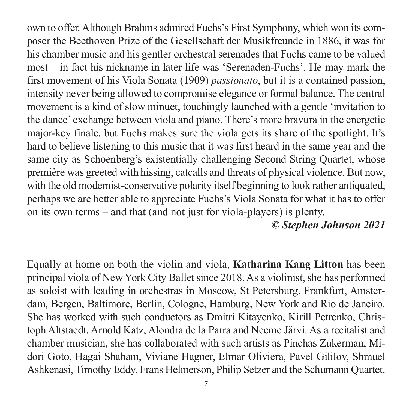own to offer. Although Brahms admired Fuchs's First Symphony, which won its com poser the Beethoven Prize of the Gesellschaft der Musikfreunde in 1886, it was for his chamber music and his gentler orchestral serenades that Fuchs came to be valued most – in fact his nickname in later life was 'Serenaden-Fuchs'. He may mark the first movement of his Viola Sonata (1909) *passionato*, but it is a contained passion, intensity never being allowed to compromise elegance or formal balance. The central movement is a kind of slow minuet, touchingly launched with a gentle 'invitation to the dance' exchange between viola and piano. There's more bravura in the energetic major-key finale, but Fuchs makes sure the viola gets its share of the spotlight. It's hard to believe listening to this music that it was first heard in the same year and the same city as Schoenberg's existentially challenging Second String Quartet, whose première was greeted with hissing, catcalls and threats of physical violence. But now, with the old modernist-conservative polarity itself beginning to look rather antiquated, perhaps we are better able to appreciate Fuchs's Viola Sonata for what it has to offer on its own terms – and that (and not just for viola-players) is plenty.

#### *© Stephen Johnson 2021*

Equally at home on both the violin and viola, **Katharina Kang Litton** has been principal viola of New York City Ballet since 2018. As a violinist, she has performed as soloist with leading in orchestras in Moscow, St Petersburg, Frankfurt, Amster dam, Bergen, Baltimore, Berlin, Cologne, Hamburg, New York and Rio de Janeiro. She has worked with such conductors as Dmitri Kitayenko, Kirill Petrenko, Christoph Altstaedt, Arnold Katz, Alondra de la Parra and Neeme Järvi. As a recitalist and chamber musician, she has collaborated with such artists as Pinchas Zukerman, Mi dori Goto, Hagai Shaham, Viviane Hagner, Elmar Oliviera, Pavel Gililov, Shmuel Ashkenasi, Timothy Eddy, Frans Helmerson, Philip Setzer and the Schumann Quartet.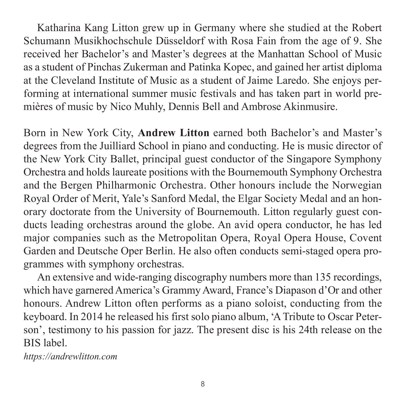Katharina Kang Litton grew up in Germany where she studied at the Robert Schumann Musikhochschule Düsseldorf with Rosa Fain from the age of 9. She received her Bachelor's and Master's degrees at the Manhattan School of Music as a student of Pinchas Zukerman and Patinka Kopec, and gained her artist diploma at the Cleveland Institute of Music as a student of Jaime Laredo. She enjoys per forming at international summer music festivals and has taken part in world premières of music by Nico Muhly, Dennis Bell and Ambrose Akinmusire.

Born in New York City, **Andrew Litton** earned both Bachelor's and Master's degrees from the Juilliard School in piano and conducting. He is music director of the New York City Ballet, principal guest conductor of the Singapore Symphony Orchestra and holds laureate positions with the Bournemouth Symphony Orchestra and the Bergen Philharmonic Orchestra. Other honours include the Norwegian Royal Order of Merit, Yale's Sanford Medal, the Elgar Society Medal and an honorary doctorate from the University of Bournemouth. Litton regularly guest conducts leading orchestras around the globe. An avid opera conductor, he has led major companies such as the Metropolitan Opera, Royal Opera House, Covent Garden and Deutsche Oper Berlin. He also often conducts semi-staged opera programmes with symphony orchestras.

An extensive and wide-ranging discography numbers more than 135 recordings, which have garnered America's Grammy Award, France's Diapason d'Or and other honours. Andrew Litton often performs as a piano soloist, conducting from the keyboard. In 2014 he released his first solo piano album, 'A Tribute to Oscar Peter son', testimony to his passion for jazz. The present disc is his 24th release on the BIS label.

*<https://andrewlitton.com>*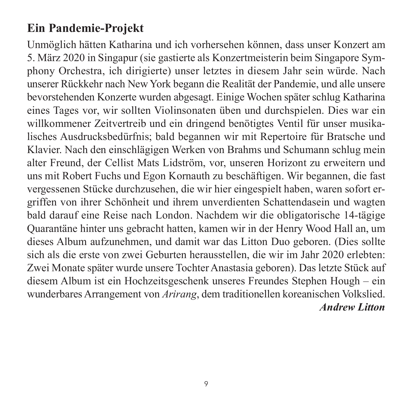# **Ein Pandemie-Projekt**

Unmöglich hätten Katharina und ich vorhersehen können, dass unser Konzert am 5. März 2020 in Singapur (sie gastierte als Konzertmeisterin beim Singapore Sym phony Orchestra, ich dirigierte) unser letztes in diesem Jahr sein würde. Nach unserer Rückkehr nach New York begann die Realität der Pandemie, und alle unsere bevorstehenden Konzerte wurden abgesagt. Einige Wochen später schlug Katharina eines Tages vor, wir sollten Violinsonaten üben und durchspielen. Dies war ein will kommener Zeitvertreib und ein dringend benötigtes Ventil für unser musikalisches Ausdrucksbedürfnis; bald begannen wir mit Repertoire für Bratsche und Klavier. Nach den einschlägigen Werken von Brahms und Schumann schlug mein alter Freund, der Cellist Mats Lidström, vor, unseren Horizont zu erweitern und uns mit Robert Fuchs und Egon Kornauth zu beschäftigen. Wir begannen, die fast vergessenen Stücke durchzusehen, die wir hier eingespielt haben, waren sofort er griffen von ihrer Schönheit und ihrem unverdienten Schattendasein und wagten bald darauf eine Reise nach London. Nachdem wir die obligatorische 14-tägige Quarantäne hinter uns gebracht hatten, kamen wir in der Henry Wood Hall an, um dieses Album aufzunehmen, und damit war das Litton Duo geboren. (Dies sollte sich als die erste von zwei Geburten herausstellen, die wir im Jahr 2020 erlebten: Zwei Monate später wurde unsere Tochter Anastasia geboren). Das letzte Stück auf diesem Album ist ein Hochzeitsgeschenk unseres Freundes Stephen Hough – ein wunderbares Arrangement von *Arirang*, dem traditionellen koreanischen Volkslied. *Andrew Litton*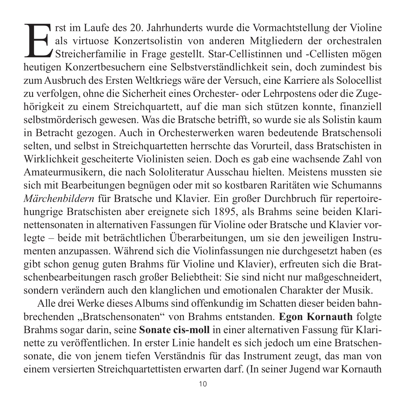Erst im Laufe des 20. Jahrhunderts wurde die Vormachtstellung der Violine<br>als virtuose Konzertsolistin von anderen Mitgliedern der orchestralen<br>Streicherfamilie in Frage gestellt. Star-Cellistinnen und -Cellisten mögen<br>heu als virtuose Konzertsolistin von anderen Mitgliedern der orchestralen Streicherfamilie in Frage gestellt. Star-Cellistinnen und -Cellisten mögen heutigen Konzertbesuchern eine Selbstverständlichkeit sein, doch zumindest bis zum Ausbruch des Ersten Weltkriegs wäre der Versuch, eine Karriere als Solocellist zu verfolgen, ohne die Sicherheit eines Orchester- oder Lehrpostens oder die Zugehörigkeit zu einem Streichquartett, auf die man sich stützen konnte, finanziell selbst mörderisch gewesen. Was die Bratsche betrifft, so wurde sie als Solistin kaum in Betracht gezogen. Auch in Orchesterwerken waren bedeutende Bratschensoli selten, und selbst in Streichquartetten herrschte das Vorurteil, dass Bratschisten in Wirklichkeit gescheiterte Violinisten seien. Doch es gab eine wachsende Zahl von Amateurmusikern, die nach Sololiteratur Ausschau hielten. Meistens mussten sie sich mit Bearbeitungen begnügen oder mit so kostbaren Raritäten wie Schumanns *Märchenbildern* für Bratsche und Klavier. Ein großer Durchbruch für repertoirehungrige Bratschisten aber ereignete sich 1895, als Brahms seine beiden Klarinetten sonaten in alternativen Fassungen für Violine oder Bratsche und Klavier vorlegte – beide mit beträchtlichen Überarbeitungen, um sie den jeweiligen Instru menten anzupassen. Während sich die Violinfassungen nie durchgesetzt haben (es gibt schon genug guten Brahms für Violine und Klavier), erfreuten sich die Brat schen bearbeitungen rasch großer Beliebtheit: Sie sind nicht nur maßge schneidert, sondern verändern auch den klanglichen und emotionalen Charakter der Musik.

Alle drei Werke dieses Albums sind offenkundig im Schatten dieser beiden bahn brechenden "Bratschensonaten" von Brahms entstanden. Egon Kornauth folgte Brahms sogar darin, seine **Sonate cis-moll** in einer alternativen Fassung für Klari nette zu veröffentlichen. In erster Linie handelt es sich jedoch um eine Bratschen sonate, die von jenem tiefen Verständnis für das Instrument zeugt, das man von einem versierten Streichquartettisten erwarten darf. (In seiner Jugend war Kornauth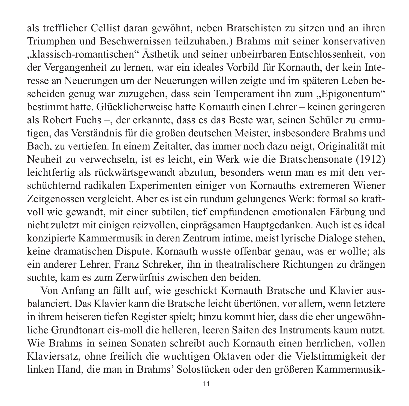als trefflicher Cellist daran gewöhnt, neben Bratschisten zu sitzen und an ihren Triumphen und Beschwernissen teilzuhaben.) Brahms mit seiner konservativen "klassisch-romantischen" Ästhetik und seiner unbeirrbaren Entschlossenheit, von der Vergangenheit zu lernen, war ein ideales Vorbild für Kornauth, der kein Interesse an Neuerungen um der Neuerungen willen zeigte und im späteren Leben be scheiden genug war zuzugeben, dass sein Temperament ihn zum "Epigonentum" bestimmt hatte. Glücklicherweise hatte Kornauth einen Lehrer – keinen geringeren als Robert Fuchs –, der erkannte, dass es das Beste war, seinen Schüler zu ermu tigen, das Verständnis für die großen deutschen Meister, insbesondere Brahms und Bach, zu vertiefen. In einem Zeitalter, das immer noch dazu neigt, Originalität mit Neuheit zu verwechseln, ist es leicht, ein Werk wie die Bratschensonate (1912) leicht fertig als rückwärtsgewandt abzutun, besonders wenn man es mit den ver schüchternd radikalen Experimenten einiger von Kornauths extremeren Wiener Zeitgenossen vergleicht. Aber es ist ein rundum gelungenes Werk: formal so kraftvoll wie gewandt, mit einer subtilen, tief empfundenen emotionalen Färbung und nicht zuletzt mit einigen reizvollen, einprägsamen Hauptgedanken. Auch ist es ideal konzipierte Kammermusik in deren Zentrum intime, meist lyrische Dialoge stehen, keine dramatischen Dispute. Kornauth wusste offenbar genau, was er wollte; als ein anderer Lehrer, Franz Schreker, ihn in theatralischere Richtungen zu drängen suchte, kam es zum Zerwürfnis zwischen den beiden.

Von Anfang an fällt auf, wie geschickt Kornauth Bratsche und Klavier ausbalanciert. Das Klavier kann die Bratsche leicht übertönen, vor allem, wenn letztere in ihrem heiseren tiefen Register spielt; hinzu kommt hier, dass die eher ungewöhn liche Grundtonart cis-moll die helleren, leeren Saiten des Instruments kaum nutzt. Wie Brahms in seinen Sonaten schreibt auch Kornauth einen herrlichen, vollen Klaviersatz, ohne freilich die wuchtigen Oktaven oder die Vielstimmigkeit der linken Hand, die man in Brahms' Solostücken oder den größeren Kammermusik -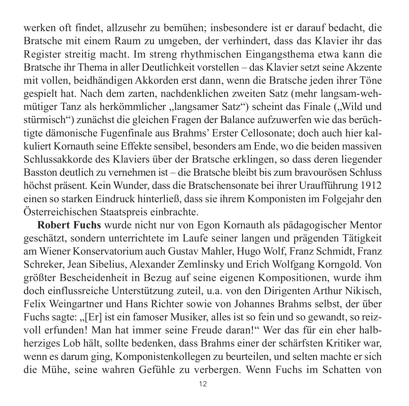werken oft findet, allzusehr zu bemühen; insbesondere ist er darauf bedacht, die Bratsche mit einem Raum zu umgeben, der verhindert, dass das Klavier ihr das Register streitig macht. Im streng rhythmischen Eingangsthema etwa kann die Bratsche ihr Thema in aller Deutlichkeit vorstellen – das Klavier setzt seine Akzente mit vollen, beidhändigen Akkorden erst dann, wenn die Bratsche jeden ihrer Töne gespielt hat. Nach dem zarten, nachdenklichen zweiten Satz (mehr langsam-wehmütiger Tanz als herkömmlicher "langsamer Satz") scheint das Finale ("Wild und stürmisch") zunächst die gleichen Fragen der Balance aufzuwerfen wie das berüchtigte dämonische Fugenfinale aus Brahms' Erster Cellosonate; doch auch hier kal kuliert Kornauth seine Effekte sensibel, besonders am Ende, wo die beiden massiven Schlussakkorde des Klaviers über der Bratsche erklingen, so dass deren liegender Basston deutlich zu vernehmen ist – die Bratsche bleibt bis zum bravourösen Schluss höchst präsent. Kein Wunder, dass die Bratschensonate bei ihrer Uraufführung 1912 einen so starken Eindruck hinterließ, dass sie ihrem Komponisten im Folgejahr den Österreichischen Staatspreis einbrachte.

**Robert Fuchs** wurde nicht nur von Egon Kornauth als pädagogischer Mentor geschätzt, sondern unterrichtete im Laufe seiner langen und prägenden Tätigkeit am Wiener Konservatorium auch Gustav Mahler, Hugo Wolf, Franz Schmidt, Franz Schreker, Jean Sibelius, Alexander Zemlinsky und Erich Wolfgang Korngold. Von größter Bescheidenheit in Bezug auf seine eigenen Kompositionen, wurde ihm doch einflussreiche Unterstützung zuteil, u.a. von den Dirigenten Arthur Nikisch, Felix Weingartner und Hans Richter sowie von Johannes Brahms selbst, der über Fuchs sagte: "[Er] ist ein famoser Musiker, alles ist so fein und so gewandt, so reizvoll erfunden! Man hat immer seine Freude daran!" Wer das für ein eher halbherziges Lob hält, sollte bedenken, dass Brahms einer der schärfsten Kritiker war, wenn es darum ging, Komponistenkollegen zu beurteilen, und selten machte er sich die Mühe, seine wahren Gefühle zu verbergen. Wenn Fuchs im Schatten von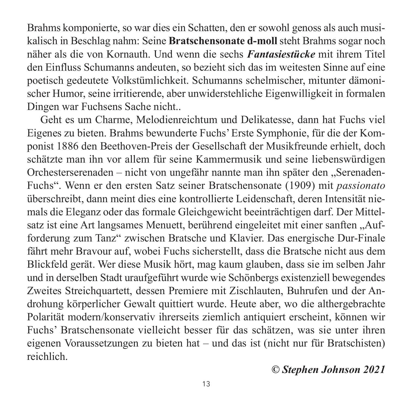Brahms komponierte, so war dies ein Schatten, den er sowohl genoss als auch musi kalisch in Beschlag nahm: Seine **Bratschensonate d-moll** steht Brahms sogar noch näher als die von Kornauth. Und wenn die sechs *Fantasiestücke* mit ihrem Titel den Einfluss Schumanns andeuten, so bezieht sich das im weitesten Sinne auf eine poetisch gedeutete Volkstümlichkeit. Schumanns schelmischer, mitunter dämonischer Humor, seine irritierende, aber unwiderstehliche Eigenwilligkeit in formalen Dingen war Fuchsens Sache nicht..

Geht es um Charme, Melodienreichtum und Delikatesse, dann hat Fuchs viel Eigenes zu bieten. Brahms bewunderte Fuchs' Erste Symphonie, für die der Kom ponist 1886 den Beethoven-Preis der Gesellschaft der Musikfreunde erhielt, doch schätzte man ihn vor allem für seine Kammermusik und seine liebenswürdigen Orchesterserenaden – nicht von ungefähr nannte man ihn später den "Serenaden-Fuchs". Wenn er den ersten Satz seiner Bratschensonate (1909) mit *passionato* überschreibt, dann meint dies eine kontrollierte Leidenschaft, deren Intensität nie mals die Eleganz oder das formale Gleichgewicht beeinträchtigen darf. Der Mittel satz ist eine Art langsames Menuett, berührend eingeleitet mit einer sanften "Aufforderung zum Tanz" zwischen Bratsche und Klavier. Das energische Dur-Finale fährt mehr Bravour auf, wobei Fuchs sicherstellt, dass die Bratsche nicht aus dem Blickfeld gerät. Wer diese Musik hört, mag kaum glauben, dass sie im selben Jahr und in derselben Stadt uraufgeführt wurde wie Schönbergs existenziell bewegendes Zweites Streichquartett, dessen Premiere mit Zischlauten, Buhrufen und der Androhung körperlicher Gewalt quittiert wurde. Heute aber, wo die alther gebrachte Polarität modern/konservativ ihrerseits ziemlich antiquiert erscheint, können wir Fuchs' Bratschensonate vielleicht besser für das schätzen, was sie unter ihren eigenen Voraussetzungen zu bieten hat – und das ist (nicht nur für Bratschisten) reichlich.

### *© Stephen Johnson 2021*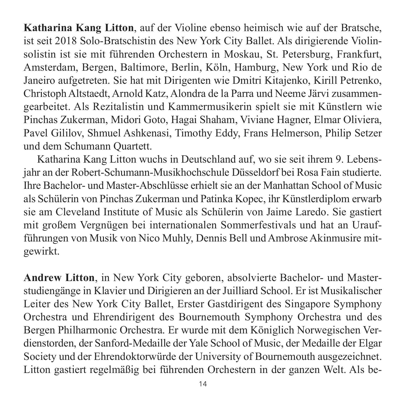**Katharina Kang Litton**, auf der Violine ebenso heimisch wie auf der Bratsche, ist seit 2018 Solo-Bratschistin des New York City Ballet. Als dirigierende Violinsolistin ist sie mit führenden Orchestern in Moskau, St. Petersburg, Frankfurt, Amsterdam, Bergen, Baltimore, Berlin, Köln, Hamburg, New York und Rio de Janeiro aufgetreten. Sie hat mit Dirigenten wie Dmitri Kitajenko, Kirill Petrenko, Christoph Altstaedt, Arnold Katz, Alondra de la Parra und Neeme Järvi zusammen gearbeitet. Als Rezitalistin und Kammermusikerin spielt sie mit Künstlern wie Pinchas Zukerman, Midori Goto, Hagai Shaham, Viviane Hagner, Elmar Oliviera, Pavel Gililov, Shmuel Ashkenasi, Timothy Eddy, Frans Helmerson, Philip Setzer und dem Schumann Quartett.

Katharina Kang Litton wuchs in Deutschland auf, wo sie seit ihrem 9. Lebens jahr an der Robert-Schumann-Musikhochschule Düsseldorf bei Rosa Fain studierte. Ihre Bachelor- und Master-Abschlüsse erhielt sie an der Manhattan School of Music als Schülerin von Pinchas Zukerman und Patinka Kopec, ihr Künstlerdiplom erwarb sie am Cleveland Institute of Music als Schülerin von Jaime Laredo. Sie gastiert mit großem Vergnügen bei internationalen Sommerfestivals und hat an Uraufführungen von Musik von Nico Muhly, Dennis Bell und Ambrose Akinmusire mit gewirkt.

**Andrew Litton**, in New York City geboren, absolvierte Bachelor- und Master studien gänge in Klavier und Dirigieren an der Juilliard School. Er ist Musikalischer Leiter des New York City Ballet, Erster Gastdirigent des Singapore Symphony Orchestra und Ehrendirigent des Bournemouth Symphony Orchestra und des Bergen Philharmonic Orchestra. Er wurde mit dem Königlich Norwegischen Ver dienstorden, der Sanford-Medaille der Yale School of Music, der Medaille der Elgar Society und der Ehrendoktorwürde der University of Bournemouth ausgezeichnet. Litton gastiert regelmäßig bei führenden Orchestern in der ganzen Welt. Als be -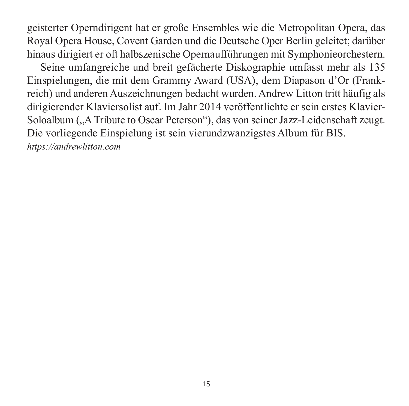geisterter Operndirigent hat er große Ensembles wie die Metropolitan Opera, das Royal Opera House, Covent Garden und die Deutsche Oper Berlin geleitet; darüber hinaus dirigiert er oft halbszenische Opernaufführungen mit Symphonieorchestern.

Seine umfangreiche und breit gefächerte Diskographie umfasst mehr als 135 Ein spielungen, die mit dem Grammy Award (USA), dem Diapason d'Or (Frank reich) und anderen Auszeichnungen bedacht wurden. Andrew Litton tritt häufig als dirigierender Klaviersolist auf. Im Jahr 2014 veröffentlichte er sein erstes Klavier-Soloalbum ("A Tribute to Oscar Peterson"), das von seiner Jazz-Leidenschaft zeugt. Die vorliegende Einspielung ist sein vierundzwanzigstes Album für BIS. *<https://andrewlitton.com>*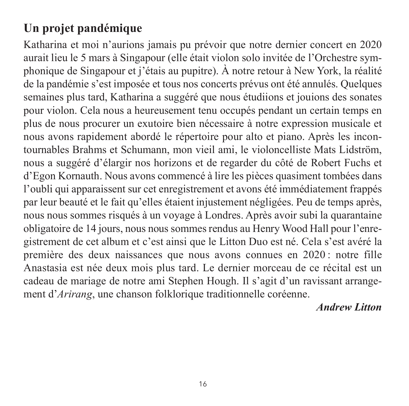# **Un projet pandémique**

Katharina et moi n'aurions jamais pu prévoir que notre dernier concert en 2020 aurait lieu le 5 mars à Singapour (elle était violon solo invitée de l'Orchestre sym phonique de Singapour et j'étais au pupitre). À notre retour à New York, la réalité de la pandémie s'est imposée et tous nos concerts prévus ont été annulés. Quelques semaines plus tard, Katharina a suggéré que nous étudiions et jouions des sonates pour violon. Cela nous a heureusement tenu occupés pendant un certain temps en plus de nous procurer un exutoire bien nécessaire à notre expression musicale et nous avons rapidement abordé le répertoire pour alto et piano. Après les incontournables Brahms et Schumann, mon vieil ami, le violoncelliste Mats Lidström, nous a suggéré d'élargir nos horizons et de regarder du côté de Robert Fuchs et d'Egon Kornauth. Nous avons commencé à lire les pièces quasiment tombées dans l'oubli qui apparaissent sur cet enregistrement et avons été immédiatement frappés par leur beauté et le fait qu'elles étaient injustement négligées. Peu de temps après, nous nous sommes risqués à un voyage à Londres. Après avoir subi la quarantaine obligatoire de 14 jours, nous nous sommes rendus au Henry Wood Hall pour l'enre gis tre ment de cet album et c'est ainsi que le Litton Duo est né. Cela s'est avéré la première des deux naissances que nous avons connues en 2020 : notre fille Anastasia est née deux mois plus tard. Le dernier morceau de ce récital est un cadeau de mariage de notre ami Stephen Hough. Il s'agit d'un ravissant arrange ment d'*Arirang*, une chanson folklorique traditionnelle coréenne.

*Andrew Litton*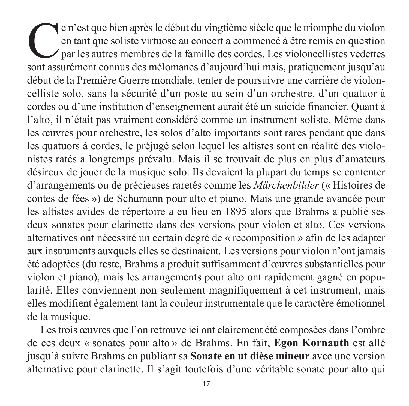e n'est que bien après le début du vingtième siècle que le triomphe du violon<br>en tant que soliste virtuose au concert a commencé à être remis en question<br>par les autres membres de la famille des cordes. Les violoncellistes en tant que soliste virtuose au concert a commencé à être remis en question par les autres membres de la famille des cordes. Les violoncellistes vedettes sont assurément connus des mélomanes d'aujourd'hui mais, pratiquement jusqu'au début de la Première Guerre mondiale, tenter de poursuivre une carrière de violoncelliste solo, sans la sécurité d'un poste au sein d'un orchestre, d'un quatuor à cordes ou d'une institution d'enseignement aurait été un suicide financier. Quant à l'alto, il n'était pas vraiment considéré comme un instrument soliste. Même dans les œuvres pour orchestre, les solos d'alto importants sont rares pendant que dans les quatuors à cordes, le préjugé selon lequel les altistes sont en réalité des violonistes ratés a longtemps prévalu. Mais il se trouvait de plus en plus d'amateurs dési reux de jouer de la musique solo. Ils devaient la plupart du temps se contenter d'arrangements ou de précieuses raretés comme les *Märchenbilder* (« Histoires de contes de fées ») de Schumann pour alto et piano. Mais une grande avancée pour les altistes avides de répertoire a eu lieu en 1895 alors que Brahms a publié ses deux sonates pour clarinette dans des versions pour violon et alto. Ces versions alternatives ont nécessité un certain degré de « recomposition » afin de les adapter aux instruments auxquels elles se destinaient. Les versions pour violon n'ont jamais été adoptées (du reste, Brahms a produit suffisamment d'œuvres substan tielles pour violon et piano), mais les arrangements pour alto ont rapidement gagné en popularité. Elles conviennent non seulement magnifiquement à cet instrument, mais elles modifient également tant la couleur instrumentale que le carac tère émotionnel de la musique.

Les trois œuvres que l'on retrouve ici ont clairement été composées dans l'ombre de ces deux « sonates pour alto » de Brahms. En fait, **Egon Kornauth** est allé jusqu'à suivre Brahms en publiant sa **Sonate en ut dièse mineur** avec une version alternative pour clarinette. Il s'agit toutefois d'une véritable sonate pour alto qui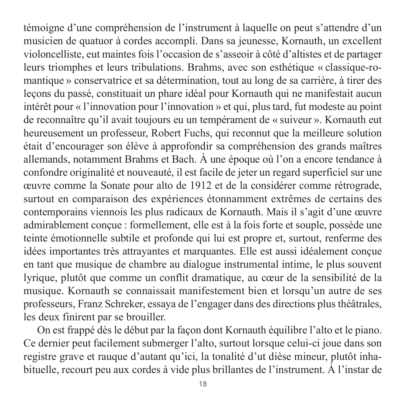témoigne d'une compréhension de l'instrument à laquelle on peut s'attendre d'un musicien de quatuor à cordes accompli. Dans sa jeunesse, Kornauth, un excellent violoncelliste, eut maintes fois l'occasion de s'asseoir à côté d'altistes et de partager leurs triomphes et leurs tribulations. Brahms, avec son esthétique « classique-romantique » conservatrice et sa détermination, tout au long de sa carrière, à tirer des leçons du passé, constituait un phare idéal pour Kornauth qui ne manifestait aucun intérêt pour « l'innovation pour l'innovation » et qui, plus tard, fut modeste au point de reconnaître qu'il avait toujours eu un tempérament de « suiveur ». Kornauth eut heureusement un professeur, Robert Fuchs, qui reconnut que la meilleure solution était d'encourager son élève à approfondir sa compréhension des grands maîtres allemands, notamment Brahms et Bach. À une époque où l'on a encore tendance à confondre originalité et nouveauté, il est facile de jeter un regard superficiel sur une œuvre comme la Sonate pour alto de 1912 et de la considérer comme rétrograde, surtout en comparaison des expériences étonnamment extrêmes de certains des contemporains viennois les plus radicaux de Kornauth. Mais il s'agit d'une œuvre admirablement conçue : formellement, elle est à la fois forte et souple, possède une teinte émotionnelle subtile et profonde qui lui est propre et, surtout, ren ferme des idées importantes très attrayantes et marquantes. Elle est aussi idéalement conçue en tant que musique de chambre au dialogue instrumental intime, le plus souvent lyrique, plutôt que comme un conflit dramatique, au cœur de la sensibilité de la musique. Kornauth se connaissait manifestement bien et lorsqu'un autre de ses professeurs, Franz Schreker, essaya de l'engager dans des directions plus théâtrales, les deux finirent par se brouiller.

On est frappé dès le début par la façon dont Kornauth équilibre l'alto et le piano. Ce dernier peut facilement submerger l'alto, surtout lorsque celui-ci joue dans son registre grave et rauque d'autant qu'ici, la tonalité d'ut dièse mineur, plutôt inhabituelle, recourt peu aux cordes à vide plus brillantes de l'instrument. À l'instar de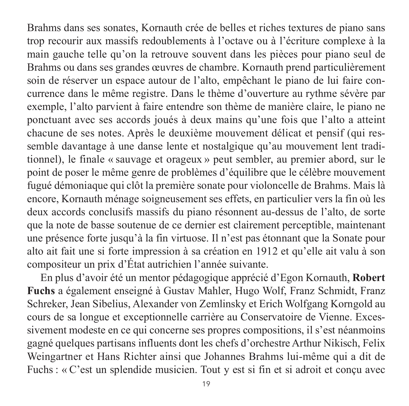Brahms dans ses sonates, Kornauth crée de belles et riches textures de piano sans trop recourir aux massifs redoublements à l'octave ou à l'écriture complexe à la main gauche telle qu'on la retrouve souvent dans les pièces pour piano seul de Brahms ou dans ses grandes œuvres de chambre. Kornauth prend particulièrement soin de réserver un espace autour de l'alto, empêchant le piano de lui faire concurrence dans le même registre. Dans le thème d'ouverture au rythme sévère par exemple, l'alto parvient à faire entendre son thème de manière claire, le piano ne ponctuant avec ses accords joués à deux mains qu'une fois que l'alto a atteint chacune de ses notes. Après le deuxième mouvement délicat et pensif (qui ressemble davantage à une danse lente et nostalgique qu'au mouvement lent traditionnel), le finale « sauvage et orageux » peut sembler, au premier abord, sur le point de poser le même genre de problèmes d'équilibre que le célèbre mouvement fugué démoniaque qui clôt la première sonate pour violoncelle de Brahms. Mais là encore, Kornauth ménage soigneusement ses effets, en particulier vers la fin où les deux accords conclusifs massifs du piano résonnent au-dessus de l'alto, de sorte que la note de basse soutenue de ce dernier est clairement perceptible, maintenant une présence forte jusqu'à la fin virtuose. Il n'est pas étonnant que la Sonate pour alto ait fait une si forte impression à sa création en 1912 et qu'elle ait valu à son com positeur un prix d'État autrichien l'année suivante.

En plus d'avoir été un mentor pédagogique apprécié d'Egon Kornauth, **Robert Fuchs** a également enseigné à Gustav Mahler, Hugo Wolf, Franz Schmidt, Franz Schreker, Jean Sibelius, Alexander von Zemlinsky et Erich Wolfgang Korngold au cours de sa longue et exceptionnelle carrière au Conservatoire de Vienne. Excessive ment modeste en ce qui concerne ses propres compositions, il s'est néanmoins gagné quelques partisans influents dont les chefs d'orchestre Arthur Nikisch, Felix Weingartner et Hans Richter ainsi que Johannes Brahms lui-même qui a dit de Fuchs : « C'est un splendide musicien. Tout y est si fin et si adroit et concu avec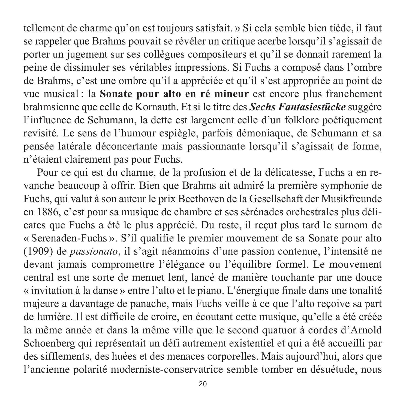tellement de charme qu'on est toujours satisfait. » Si cela semble bien tiède, il faut se rappeler que Brahms pouvait se révéler un critique acerbe lorsqu'il s'agissait de porter un jugement sur ses collègues compositeurs et qu'il se donnait rarement la peine de dissimuler ses véritables impressions. Si Fuchs a composé dans l'ombre de Brahms, c'est une ombre qu'il a appréciée et qu'il s'est appropriée au point de vue musical : la **Sonate pour alto en ré mineur** est encore plus franchement brahmsienne que celle de Kornauth. Et si le titre des *Sechs Fantasiestücke* suggère l'influence de Schumann, la dette est largement celle d'un folklore poétiquement revisité. Le sens de l'humour espiègle, parfois démoniaque, de Schumann et sa pensée latérale déconcertante mais passionnante lorsqu'il s'agissait de forme, n'étaient clairement pas pour Fuchs.

Pour ce qui est du charme, de la profusion et de la délicatesse, Fuchs a en re vanche beaucoup à offrir. Bien que Brahms ait admiré la première symphonie de Fuchs, qui valut à son auteur le prix Beethoven de la Gesellschaft der Musikfreunde en 1886, c'est pour sa musique de chambre et ses sérénades orchestrales plus déli cates que Fuchs a été le plus apprécié. Du reste, il reçut plus tard le surnom de « Serenaden-Fuchs ». S'il qualifie le premier mouvement de sa Sonate pour alto (1909) de *passionato*, il s'agit néanmoins d'une passion contenue, l'intensité ne devant jamais compromettre l'élégance ou l'équilibre formel. Le mouvement central est une sorte de menuet lent, lancé de manière touchante par une douce « invitation à la danse » entre l'alto et le piano. L'énergique finale dans une tonalité majeure a davantage de panache, mais Fuchs veille à ce que l'alto reçoive sa part de lumière. Il est difficile de croire, en écoutant cette musique, qu'elle a été créée la même année et dans la même ville que le second quatuor à cordes d'Arnold Schoenberg qui représentait un défi autrement existentiel et qui a été accueilli par des sifflements, des huées et des menaces corporelles. Mais aujourd'hui, alors que l'ancienne polarité moderniste-conservatrice semble tomber en désuétude, nous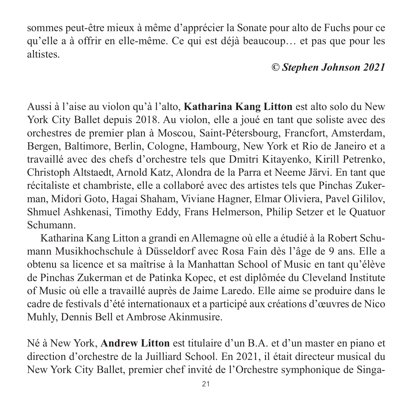sommes peut-être mieux à même d'apprécier la Sonate pour alto de Fuchs pour ce qu'elle a à offrir en elle-même. Ce qui est déjà beaucoup… et pas que pour les altistes.

## *© Stephen Johnson 2021*

Aussi à l'aise au violon qu'à l'alto, **Katharina Kang Litton** est alto solo du New York City Ballet depuis 2018. Au violon, elle a joué en tant que soliste avec des orchestres de premier plan à Moscou, Saint-Pétersbourg, Francfort, Amsterdam, Bergen, Baltimore, Berlin, Cologne, Hambourg, New York et Rio de Janeiro et a travaillé avec des chefs d'orchestre tels que Dmitri Kitayenko, Kirill Petrenko, Christoph Altstaedt, Arnold Katz, Alondra de la Parra et Neeme Järvi. En tant que récitaliste et chambriste, elle a collaboré avec des artistes tels que Pinchas Zuker man, Midori Goto, Hagai Shaham, Viviane Hagner, Elmar Oliviera, Pavel Gililov, Shmuel Ashkenasi, Timothy Eddy, Frans Helmerson, Philip Setzer et le Quatuor Schumann.

Katharina Kang Litton a grandi en Allemagne où elle a étudié à la Robert Schu mann Musikhochschule à Düsseldorf avec Rosa Fain dès l'âge de 9 ans. Elle a obtenu sa licence et sa maîtrise à la Manhattan School of Music en tant qu'élève de Pinchas Zukerman et de Patinka Kopec, et est diplômée du Cleveland Institute of Music où elle a travaillé auprès de Jaime Laredo. Elle aime se produire dans le cadre de festivals d'été internationaux et a participé aux créations d'œuvres de Nico Muhly, Dennis Bell et Ambrose Akinmusire.

Né à New York, **Andrew Litton** est titulaire d'un B.A. et d'un master en piano et direction d'orchestre de la Juilliard School. En 2021, il était directeur musical du New York City Ballet, premier chef invité de l'Orchestre symphonique de Singa -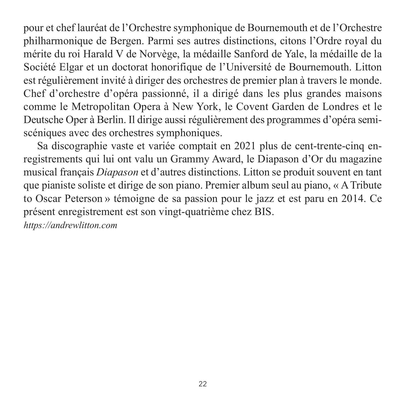pour et chef lauréat de l'Orchestre symphonique de Bournemouth et de l'Orchestre philharmonique de Bergen. Parmi ses autres distinctions, citons l'Ordre royal du mérite du roi Harald V de Norvège, la médaille Sanford de Yale, la médaille de la Société Elgar et un doctorat honorifique de l'Université de Bournemouth. Litton est régulièrement invité à diriger des orchestres de premier plan à travers le monde. Chef d'orchestre d'opéra passionné, il a dirigé dans les plus grandes maisons comme le Metropolitan Opera à New York, le Covent Garden de Londres et le Deutsche Oper à Berlin. Il dirige aussi régulièrement des programmes d'opéra semiscéniques avec des orchestres symphoniques.

Sa discographie vaste et variée comptait en 2021 plus de cent-trente-cinq enregistrements qui lui ont valu un Grammy Award, le Diapason d'Or du magazine musical français *Diapason* et d'autres distinctions. Litton se produit souvent en tant que pianiste soliste et dirige de son piano. Premier album seul au piano, « A Tribute to Oscar Peterson » témoigne de sa passion pour le jazz et est paru en 2014. Ce présent enregistrement est son vingt-quatrième chez BIS.

*<https://andrewlitton.com>*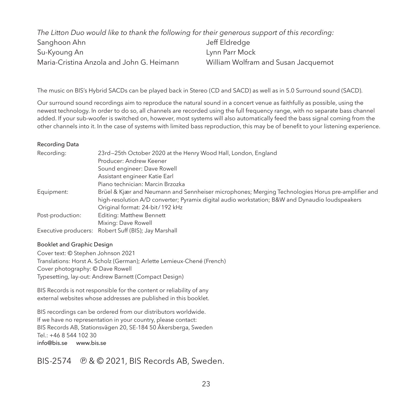| The Litton Duo would like to thank the following for their generous support of this recording: |                                     |
|------------------------------------------------------------------------------------------------|-------------------------------------|
| Sanghoon Ahn                                                                                   | Jeff Eldredae                       |
| Su-Kyoung An                                                                                   | Lynn Parr Mock                      |
| Maria-Cristina Anzola and John G. Heimann                                                      | William Wolfram and Susan Jacquemot |

The music on BIS's Hybrid SACDs can be played back in Stereo (CD and SACD) as well as in 5.0 Surround sound (SACD).

Our surround sound recordings aim to reproduce the natural sound in a concert venue as faithfully as possible, using the newest technology. In order to do so, all channels are recorded using the full frequency range, with no separate bass channel added. If your sub-woofer is switched on, however, most systems will also automatically feed the bass signal coming from the other channels into it. In the case of systems with limited bass reproduction, this may be of benefit to your listening experience.

#### Recording Data

| Recordina:       | 23rd-25th October 2020 at the Henry Wood Hall, London, England                                    |
|------------------|---------------------------------------------------------------------------------------------------|
|                  | Producer: Andrew Keener                                                                           |
|                  | Sound engineer: Dave Rowell                                                                       |
|                  | Assistant engineer Katie Earl                                                                     |
|                  | Piano technician: Marcin Brzozka                                                                  |
| Equipment:       | Brüel & Kjær and Neumann and Sennheiser microphones; Merging Technologies Horus pre-amplifier and |
|                  | high-resolution A/D converter; Pyramix digital audio workstation; B&W and Dynaudio loudspeakers   |
|                  | Original format: 24-bit / 192 kHz                                                                 |
| Post-production: | Editina: Matthew Bennett                                                                          |
|                  | Mixing: Dave Rowell                                                                               |
|                  | Executive producers: Robert Suff (BIS); Jay Marshall                                              |

#### Booklet and Graphic Design

Cover text: © Stephen Johnson 2021 Translations: Horst A. Scholz (German); Arlette Lemieux-Chené (French) Cover photography: © Dave Rowell Typesetting, lay-out: Andrew Barnett (Compact Design)

BIS Records is not responsible for the content or reliability of any external websites whose addresses are published in this booklet.

BIS recordings can be ordered from our distributors worldwide. If we have no representation in your country, please contact: BIS Records AB, Stationsvägen 20, SE-184 50 Åkersberga, Sweden  $Tel: +46854410230$ [info@bis.se](mailto:info@bis.se) [www.bis.se](http://www.bis.se)

BIS-2574  $\circledR$  &  $\circledR$  2021, BIS Records AB, Sweden.